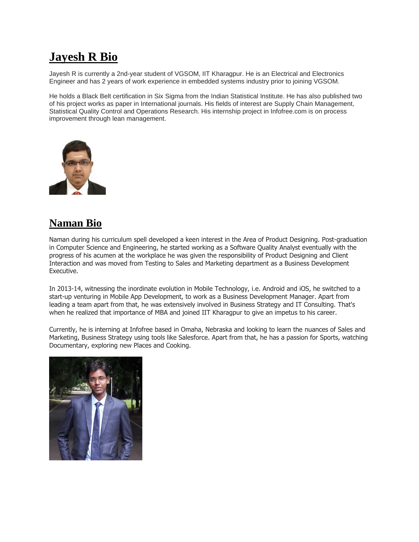## **Jayesh R Bio**

Jayesh R is currently a 2nd-year student of VGSOM, IIT Kharagpur. He is an Electrical and Electronics Engineer and has 2 years of work experience in embedded systems industry prior to joining VGSOM.

He holds a Black Belt certification in Six Sigma from the Indian Statistical Institute. He has also published two of his project works as paper in International journals. His fields of interest are Supply Chain Management, Statistical Quality Control and Operations Research. His internship project in Infofree.com is on process improvement through lean management.



## **Naman Bio**

Naman during his curriculum spell developed a keen interest in the Area of Product Designing. Post-graduation in Computer Science and Engineering, he started working as a Software Quality Analyst eventually with the progress of his acumen at the workplace he was given the responsibility of Product Designing and Client Interaction and was moved from Testing to Sales and Marketing department as a Business Development Executive.

In 2013-14, witnessing the inordinate evolution in Mobile Technology, i.e. Android and iOS, he switched to a start-up venturing in Mobile App Development, to work as a Business Development Manager. Apart from leading a team apart from that, he was extensively involved in Business Strategy and IT Consulting. That's when he realized that importance of MBA and joined IIT Kharagpur to give an impetus to his career.

Currently, he is interning at Infofree based in Omaha, Nebraska and looking to learn the nuances of Sales and Marketing, Business Strategy using tools like Salesforce. Apart from that, he has a passion for Sports, watching Documentary, exploring new Places and Cooking.